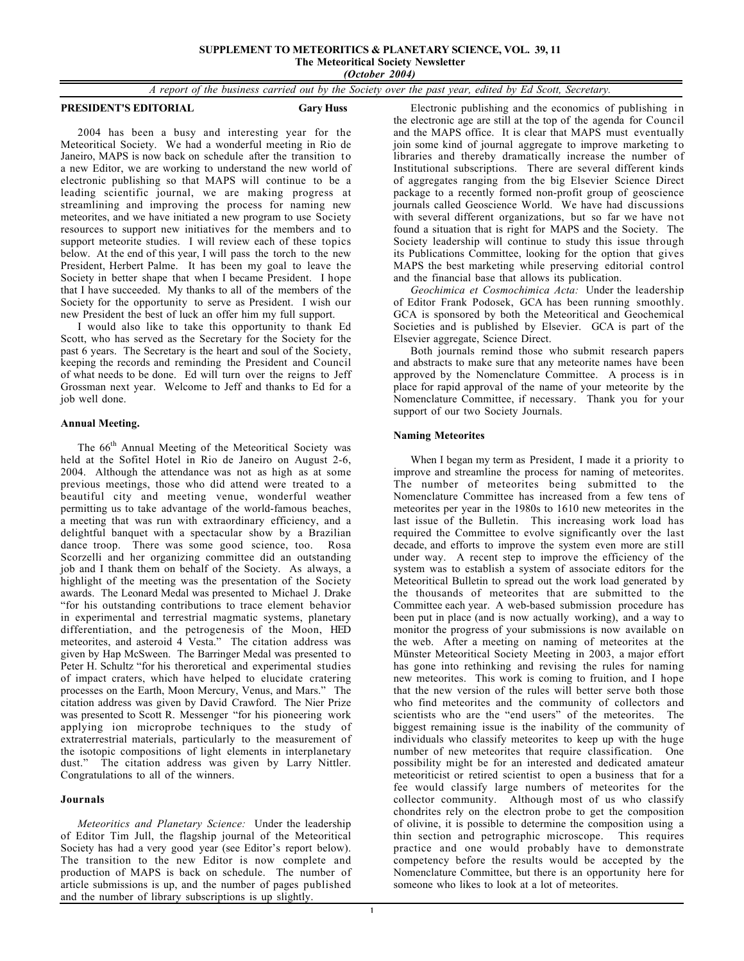### **SUPPLEMENT TO METEORITICS & PLANETARY SCIENCE, VOL. 39, 11 The Meteoritical Society Newsletter** *(October 2004)*

*A report of the business carried out by the Society over the past year, edited by Ed Scott, Secretary.*

**PRESIDENT'S EDITORIAL Gary Huss** 

2004 has been a busy and interesting year for the Meteoritical Society. We had a wonderful meeting in Rio de Janeiro, MAPS is now back on schedule after the transition to a new Editor, we are working to understand the new world of electronic publishing so that MAPS will continue to be a leading scientific journal, we are making progress at streamlining and improving the process for naming new meteorites, and we have initiated a new program to use Society resources to support new initiatives for the members and to support meteorite studies. I will review each of these topics below. At the end of this year, I will pass the torch to the new President, Herbert Palme. It has been my goal to leave the Society in better shape that when I became President. I hope that I have succeeded. My thanks to all of the members of the Society for the opportunity to serve as President. I wish our new President the best of luck an offer him my full support.

I would also like to take this opportunity to thank Ed Scott, who has served as the Secretary for the Society for the past 6 years. The Secretary is the heart and soul of the Society, keeping the records and reminding the President and Council of what needs to be done. Ed will turn over the reigns to Jeff Grossman next year. Welcome to Jeff and thanks to Ed for a job well done.

# **Annual Meeting.**

The 66<sup>th</sup> Annual Meeting of the Meteoritical Society was held at the Sofitel Hotel in Rio de Janeiro on August 2-6, 2004. Although the attendance was not as high as at some previous meetings, those who did attend were treated to a beautiful city and meeting venue, wonderful weather permitting us to take advantage of the world-famous beaches, a meeting that was run with extraordinary efficiency, and a delightful banquet with a spectacular show by a Brazilian dance troop. There was some good science, too. Rosa Scorzelli and her organizing committee did an outstanding job and I thank them on behalf of the Society. As always, a highlight of the meeting was the presentation of the Society awards. The Leonard Medal was presented to Michael J. Drake "for his outstanding contributions to trace element behavior in experimental and terrestrial magmatic systems, planetary differentiation, and the petrogenesis of the Moon, HED meteorites, and asteroid 4 Vesta." The citation address was given by Hap McSween. The Barringer Medal was presented to Peter H. Schultz "for his theroretical and experimental studies of impact craters, which have helped to elucidate cratering processes on the Earth, Moon Mercury, Venus, and Mars." The citation address was given by David Crawford. The Nier Prize was presented to Scott R. Messenger "for his pioneering work applying ion microprobe techniques to the study of extraterrestrial materials, particularly to the measurement of the isotopic compositions of light elements in interplanetary dust." The citation address was given by Larry Nittler. Congratulations to all of the winners.

# **Journals**

*Meteoritics and Planetary Science:* Under the leadership of Editor Tim Jull, the flagship journal of the Meteoritical Society has had a very good year (see Editor's report below). The transition to the new Editor is now complete and production of MAPS is back on schedule. The number of article submissions is up, and the number of pages published and the number of library subscriptions is up slightly.

Electronic publishing and the economics of publishing in the electronic age are still at the top of the agenda for Council and the MAPS office. It is clear that MAPS must eventually join some kind of journal aggregate to improve marketing to libraries and thereby dramatically increase the number of Institutional subscriptions. There are several different kinds of aggregates ranging from the big Elsevier Science Direct package to a recently formed non-profit group of geoscience journals called Geoscience World. We have had discussions with several different organizations, but so far we have not found a situation that is right for MAPS and the Society. The Society leadership will continue to study this issue through its Publications Committee, looking for the option that gives MAPS the best marketing while preserving editorial control and the financial base that allows its publication.

*Geochimica et Cosmochimica Acta:* Under the leadership of Editor Frank Podosek, GCA has been running smoothly. GCA is sponsored by both the Meteoritical and Geochemical Societies and is published by Elsevier. GCA is part of the Elsevier aggregate, Science Direct.

Both journals remind those who submit research papers and abstracts to make sure that any meteorite names have been approved by the Nomenclature Committee. A process is in place for rapid approval of the name of your meteorite by the Nomenclature Committee, if necessary. Thank you for your support of our two Society Journals.

# **Naming Meteorites**

When I began my term as President, I made it a priority to improve and streamline the process for naming of meteorites. The number of meteorites being submitted to the Nomenclature Committee has increased from a few tens of meteorites per year in the 1980s to 1610 new meteorites in the last issue of the Bulletin. This increasing work load has required the Committee to evolve significantly over the last decade, and efforts to improve the system even more are still under way. A recent step to improve the efficiency of the system was to establish a system of associate editors for the Meteoritical Bulletin to spread out the work load generated by the thousands of meteorites that are submitted to the Committee each year. A web-based submission procedure has been put in place (and is now actually working), and a way to monitor the progress of your submissions is now available on the web. After a meeting on naming of meteorites at the Münster Meteoritical Society Meeting in 2003, a major effort has gone into rethinking and revising the rules for naming new meteorites. This work is coming to fruition, and I hope that the new version of the rules will better serve both those who find meteorites and the community of collectors and scientists who are the "end users" of the meteorites. The biggest remaining issue is the inability of the community of individuals who classify meteorites to keep up with the huge number of new meteorites that require classification. One possibility might be for an interested and dedicated amateur meteoriticist or retired scientist to open a business that for a fee would classify large numbers of meteorites for the collector community. Although most of us who classify chondrites rely on the electron probe to get the composition of olivine, it is possible to determine the composition using a thin section and petrographic microscope. This requires practice and one would probably have to demonstrate competency before the results would be accepted by the Nomenclature Committee, but there is an opportunity here for someone who likes to look at a lot of meteorites.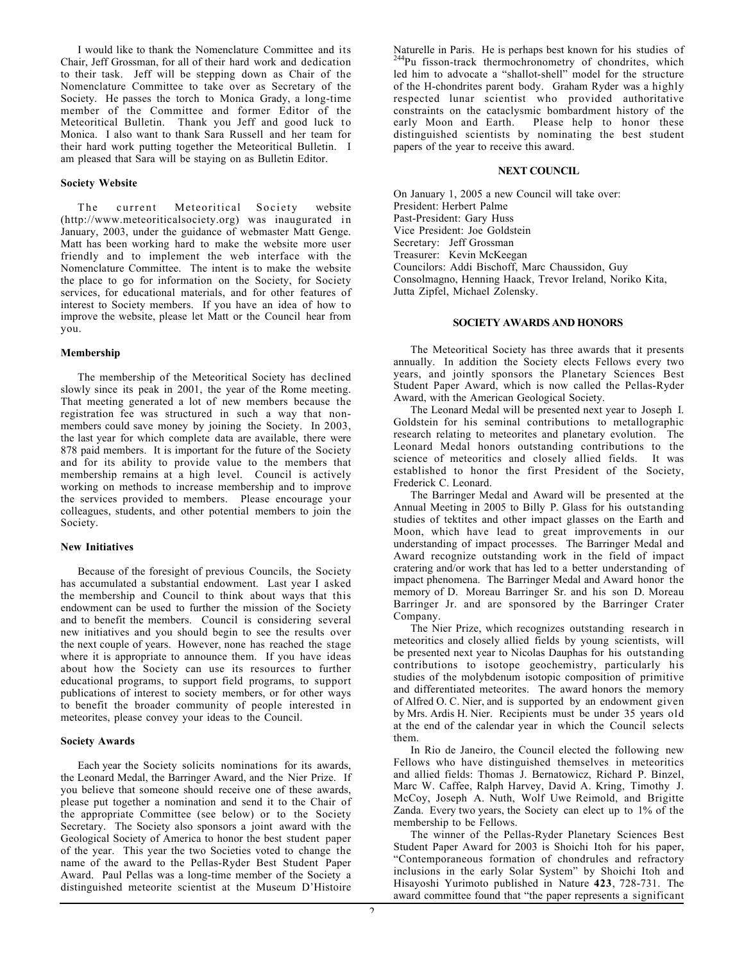I would like to thank the Nomenclature Committee and its Chair, Jeff Grossman, for all of their hard work and dedication to their task. Jeff will be stepping down as Chair of the Nomenclature Committee to take over as Secretary of the Society. He passes the torch to Monica Grady, a long-time member of the Committee and former Editor of the Meteoritical Bulletin. Thank you Jeff and good luck to Monica. I also want to thank Sara Russell and her team for their hard work putting together the Meteoritical Bulletin. I am pleased that Sara will be staying on as Bulletin Editor.

# **Society Website**

The current Meteoritical Society website (http://www.meteoriticalsociety.org) was inaugurated in January, 2003, under the guidance of webmaster Matt Genge. Matt has been working hard to make the website more user friendly and to implement the web interface with the Nomenclature Committee. The intent is to make the website the place to go for information on the Society, for Society services, for educational materials, and for other features of interest to Society members. If you have an idea of how to improve the website, please let Matt or the Council hear from you.

# **Membership**

The membership of the Meteoritical Society has declined slowly since its peak in 2001, the year of the Rome meeting. That meeting generated a lot of new members because the registration fee was structured in such a way that nonmembers could save money by joining the Society. In 2003, the last year for which complete data are available, there were 878 paid members. It is important for the future of the Society and for its ability to provide value to the members that membership remains at a high level. Council is actively working on methods to increase membership and to improve the services provided to members. Please encourage your colleagues, students, and other potential members to join the Society.

#### **New Initiatives**

Because of the foresight of previous Councils, the Society has accumulated a substantial endowment. Last year I asked the membership and Council to think about ways that this endowment can be used to further the mission of the Society and to benefit the members. Council is considering several new initiatives and you should begin to see the results over the next couple of years. However, none has reached the stage where it is appropriate to announce them. If you have ideas about how the Society can use its resources to further educational programs, to support field programs, to support publications of interest to society members, or for other ways to benefit the broader community of people interested in meteorites, please convey your ideas to the Council.

# **Society Awards**

Each year the Society solicits nominations for its awards, the Leonard Medal, the Barringer Award, and the Nier Prize. If you believe that someone should receive one of these awards, please put together a nomination and send it to the Chair of the appropriate Committee (see below) or to the Society Secretary. The Society also sponsors a joint award with the Geological Society of America to honor the best student paper of the year. This year the two Societies voted to change the name of the award to the Pellas-Ryder Best Student Paper Award. Paul Pellas was a long-time member of the Society a distinguished meteorite scientist at the Museum D'Histoire

Naturelle in Paris. He is perhaps best known for his studies of <sup>244</sup>Pu fisson-track thermochronometry of chondrites, which led him to advocate a "shallot-shell" model for the structure of the H-chondrites parent body. Graham Ryder was a highly respected lunar scientist who provided authoritative constraints on the cataclysmic bombardment history of the early Moon and Earth. Please help to honor these distinguished scientists by nominating the best student papers of the year to receive this award.

#### **NEXT COUNCIL**

On January 1, 2005 a new Council will take over: President: Herbert Palme Past-President: Gary Huss Vice President: Joe Goldstein Secretary: Jeff Grossman Treasurer: Kevin McKeegan Councilors: Addi Bischoff, Marc Chaussidon, Guy Consolmagno, Henning Haack, Trevor Ireland, Noriko Kita, Jutta Zipfel, Michael Zolensky.

#### **SOCIETY AWARDS AND HONORS**

The Meteoritical Society has three awards that it presents annually. In addition the Society elects Fellows every two years, and jointly sponsors the Planetary Sciences Best Student Paper Award, which is now called the Pellas-Ryder Award, with the American Geological Society.

The Leonard Medal will be presented next year to Joseph I. Goldstein for his seminal contributions to metallographic research relating to meteorites and planetary evolution. The Leonard Medal honors outstanding contributions to the science of meteoritics and closely allied fields. It was established to honor the first President of the Society, Frederick C. Leonard.

The Barringer Medal and Award will be presented at the Annual Meeting in 2005 to Billy P. Glass for his outstanding studies of tektites and other impact glasses on the Earth and Moon, which have lead to great improvements in our understanding of impact processes. The Barringer Medal and Award recognize outstanding work in the field of impact cratering and/or work that has led to a better understanding of impact phenomena. The Barringer Medal and Award honor the memory of D. Moreau Barringer Sr. and his son D. Moreau Barringer Jr. and are sponsored by the Barringer Crater Company.

The Nier Prize, which recognizes outstanding research in meteoritics and closely allied fields by young scientists, will be presented next year to Nicolas Dauphas for his outstanding contributions to isotope geochemistry, particularly his studies of the molybdenum isotopic composition of primitive and differentiated meteorites. The award honors the memory of Alfred O. C. Nier, and is supported by an endowment given by Mrs. Ardis H. Nier. Recipients must be under 35 years old at the end of the calendar year in which the Council selects them.

In Rio de Janeiro, the Council elected the following new Fellows who have distinguished themselves in meteoritics and allied fields: Thomas J. Bernatowicz, Richard P. Binzel, Marc W. Caffee, Ralph Harvey, David A. Kring, Timothy J. McCoy, Joseph A. Nuth, Wolf Uwe Reimold, and Brigitte Zanda. Every two years, the Society can elect up to 1% of the membership to be Fellows.

The winner of the Pellas-Ryder Planetary Sciences Best Student Paper Award for 2003 is Shoichi Itoh for his paper, "Contemporaneous formation of chondrules and refractory inclusions in the early Solar System" by Shoichi Itoh and Hisayoshi Yurimoto published in Nature **423**, 728-731. The award committee found that "the paper represents a significant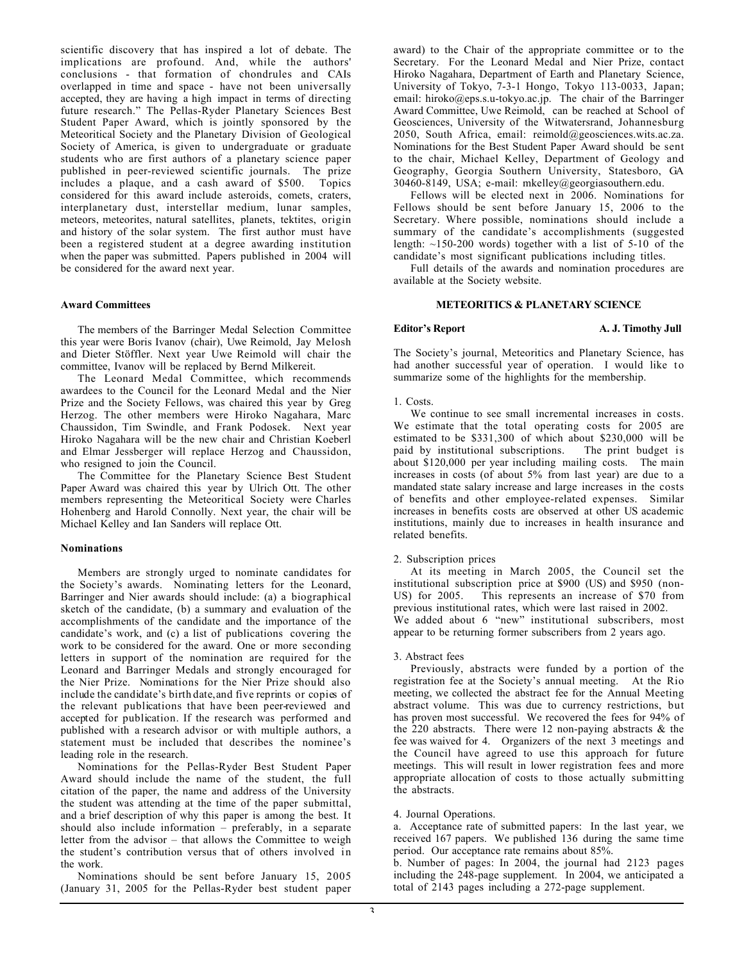scientific discovery that has inspired a lot of debate. The implications are profound. And, while the authors' conclusions - that formation of chondrules and CAIs overlapped in time and space - have not been universally accepted, they are having a high impact in terms of directing future research." The Pellas-Ryder Planetary Sciences Best Student Paper Award, which is jointly sponsored by the Meteoritical Society and the Planetary Division of Geological Society of America, is given to undergraduate or graduate students who are first authors of a planetary science paper published in peer-reviewed scientific journals. The prize includes a plaque, and a cash award of \$500. Topics considered for this award include asteroids, comets, craters, interplanetary dust, interstellar medium, lunar samples, meteors, meteorites, natural satellites, planets, tektites, origin and history of the solar system. The first author must have been a registered student at a degree awarding institution when the paper was submitted. Papers published in 2004 will be considered for the award next year.

# **Award Committees**

The members of the Barringer Medal Selection Committee this year were Boris Ivanov (chair), Uwe Reimold, Jay Melosh and Dieter Stöffler. Next year Uwe Reimold will chair the committee, Ivanov will be replaced by Bernd Milkereit.

The Leonard Medal Committee, which recommends awardees to the Council for the Leonard Medal and the Nier Prize and the Society Fellows, was chaired this year by Greg Herzog. The other members were Hiroko Nagahara, Marc Chaussidon, Tim Swindle, and Frank Podosek. Next year Hiroko Nagahara will be the new chair and Christian Koeberl and Elmar Jessberger will replace Herzog and Chaussidon, who resigned to join the Council.

The Committee for the Planetary Science Best Student Paper Award was chaired this year by Ulrich Ott. The other members representing the Meteoritical Society were Charles Hohenberg and Harold Connolly. Next year, the chair will be Michael Kelley and Ian Sanders will replace Ott.

# **Nominations**

Members are strongly urged to nominate candidates for the Society's awards. Nominating letters for the Leonard, Barringer and Nier awards should include: (a) a biographical sketch of the candidate, (b) a summary and evaluation of the accomplishments of the candidate and the importance of the candidate's work, and (c) a list of publications covering the work to be considered for the award. One or more seconding letters in support of the nomination are required for the Leonard and Barringer Medals and strongly encouraged for the Nier Prize. Nominations for the Nier Prize should also include the candidate's birth date, and five reprints or copies of the relevant publications that have been peer-reviewed and accepted for publication. If the research was performed and published with a research advisor or with multiple authors, a statement must be included that describes the nominee's leading role in the research.

Nominations for the Pellas-Ryder Best Student Paper Award should include the name of the student, the full citation of the paper, the name and address of the University the student was attending at the time of the paper submittal, and a brief description of why this paper is among the best. It should also include information – preferably, in a separate letter from the advisor – that allows the Committee to weigh the student's contribution versus that of others involved in the work.

Nominations should be sent before January 15, 2005 (January 31, 2005 for the Pellas-Ryder best student paper

award) to the Chair of the appropriate committee or to the Secretary. For the Leonard Medal and Nier Prize, contact Hiroko Nagahara, Department of Earth and Planetary Science, University of Tokyo, 7-3-1 Hongo, Tokyo 113-0033, Japan; email: hiroko@eps.s.u-tokyo.ac.jp. The chair of the Barringer Award Committee, Uwe Reimold, can be reached at School of Geosciences, University of the Witwatersrand, Johannesburg 2050, South Africa, email: reimold@geosciences.wits.ac.za. Nominations for the Best Student Paper Award should be sent to the chair, Michael Kelley, Department of Geology and Geography, Georgia Southern University, Statesboro, GA 30460-8149, USA; e-mail: mkelley@georgiasouthern.edu.

Fellows will be elected next in 2006. Nominations for Fellows should be sent before January 15, 2006 to the Secretary. Where possible, nominations should include a summary of the candidate's accomplishments (suggested length:  $\sim$ 150-200 words) together with a list of 5-10 of the candidate's most significant publications including titles.

Full details of the awards and nomination procedures are available at the Society website.

# **METEORITICS & PLANETARY SCIENCE**

**Editor's Report A. J. Timothy Jull** 

The Society's journal, Meteoritics and Planetary Science, has had another successful year of operation. I would like to summarize some of the highlights for the membership.

# 1. Costs.

We continue to see small incremental increases in costs. We estimate that the total operating costs for 2005 are estimated to be \$331,300 of which about \$230,000 will be paid by institutional subscriptions. The print budget is about \$120,000 per year including mailing costs. The main increases in costs (of about 5% from last year) are due to a mandated state salary increase and large increases in the costs of benefits and other employee-related expenses. Similar increases in benefits costs are observed at other US academic institutions, mainly due to increases in health insurance and related benefits.

### 2. Subscription prices

At its meeting in March 2005, the Council set the institutional subscription price at \$900 (US) and \$950 (non-US) for 2005. This represents an increase of \$70 from previous institutional rates, which were last raised in 2002. We added about 6 "new" institutional subscribers, most appear to be returning former subscribers from 2 years ago.

#### 3. Abstract fees

Previously, abstracts were funded by a portion of the registration fee at the Society's annual meeting. At the Rio meeting, we collected the abstract fee for the Annual Meeting abstract volume. This was due to currency restrictions, but has proven most successful. We recovered the fees for 94% of the 220 abstracts. There were 12 non-paying abstracts  $\&$  the fee was waived for 4. Organizers of the next 3 meetings and the Council have agreed to use this approach for future meetings. This will result in lower registration fees and more appropriate allocation of costs to those actually submitting the abstracts.

# 4. Journal Operations.

a. Acceptance rate of submitted papers: In the last year, we received 167 papers. We published 136 during the same time period. Our acceptance rate remains about 85%.

b. Number of pages: In 2004, the journal had 2123 pages including the 248-page supplement. In 2004, we anticipated a total of 2143 pages including a 272-page supplement.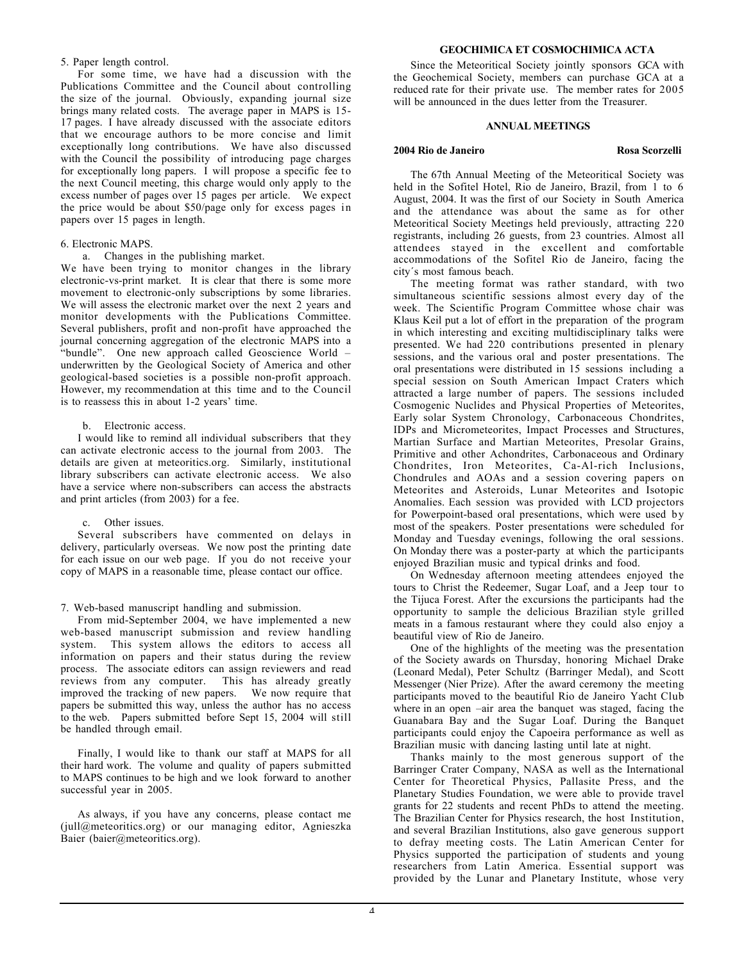# 5. Paper length control.

For some time, we have had a discussion with the Publications Committee and the Council about controlling the size of the journal. Obviously, expanding journal size brings many related costs. The average paper in MAPS is 15- 17 pages. I have already discussed with the associate editors that we encourage authors to be more concise and limit exceptionally long contributions. We have also discussed with the Council the possibility of introducing page charges for exceptionally long papers. I will propose a specific fee to the next Council meeting, this charge would only apply to the excess number of pages over 15 pages per article. We expect the price would be about \$50/page only for excess pages in papers over 15 pages in length.

# 6. Electronic MAPS.

a. Changes in the publishing market.

We have been trying to monitor changes in the library electronic-vs-print market. It is clear that there is some more movement to electronic-only subscriptions by some libraries. We will assess the electronic market over the next 2 years and monitor developments with the Publications Committee. Several publishers, profit and non-profit have approached the journal concerning aggregation of the electronic MAPS into a "bundle". One new approach called Geoscience World – underwritten by the Geological Society of America and other geological-based societies is a possible non-profit approach. However, my recommendation at this time and to the Council is to reassess this in about 1-2 years' time.

# b. Electronic access.

I would like to remind all individual subscribers that they can activate electronic access to the journal from 2003. The details are given at meteoritics.org. Similarly, institutional library subscribers can activate electronic access. We also have a service where non-subscribers can access the abstracts and print articles (from 2003) for a fee.

# c. Other issues.

Several subscribers have commented on delays in delivery, particularly overseas. We now post the printing date for each issue on our web page. If you do not receive your copy of MAPS in a reasonable time, please contact our office.

# 7. Web-based manuscript handling and submission.

From mid-September 2004, we have implemented a new web-based manuscript submission and review handling system. This system allows the editors to access all information on papers and their status during the review process. The associate editors can assign reviewers and read reviews from any computer. This has already greatly improved the tracking of new papers. We now require that papers be submitted this way, unless the author has no access to the web. Papers submitted before Sept 15, 2004 will still be handled through email.

Finally, I would like to thank our staff at MAPS for all their hard work. The volume and quality of papers submitted to MAPS continues to be high and we look forward to another successful year in 2005.

As always, if you have any concerns, please contact me (jull@meteoritics.org) or our managing editor, Agnieszka Baier (baier@meteoritics.org).

# **GEOCHIMICA ET COSMOCHIMICA ACTA**

Since the Meteoritical Society jointly sponsors GCA with the Geochemical Society, members can purchase GCA at a reduced rate for their private use. The member rates for 2005 will be announced in the dues letter from the Treasurer.

# **ANNUAL MEETINGS**

#### **2004 Rio de Janeiro Rosa Scorzelli**

The 67th Annual Meeting of the Meteoritical Society was held in the Sofitel Hotel, Rio de Janeiro, Brazil, from 1 to 6 August, 2004. It was the first of our Society in South America and the attendance was about the same as for other Meteoritical Society Meetings held previously, attracting 220 registrants, including 26 guests, from 23 countries. Almost all attendees stayed in the excellent and comfortable accommodations of the Sofitel Rio de Janeiro, facing the city´s most famous beach.

The meeting format was rather standard, with two simultaneous scientific sessions almost every day of the week. The Scientific Program Committee whose chair was Klaus Keil put a lot of effort in the preparation of the program in which interesting and exciting multidisciplinary talks were presented. We had 220 contributions presented in plenary sessions, and the various oral and poster presentations. The oral presentations were distributed in 15 sessions including a special session on South American Impact Craters which attracted a large number of papers. The sessions included Cosmogenic Nuclides and Physical Properties of Meteorites, Early solar System Chronology, Carbonaceous Chondrites, IDPs and Micrometeorites, Impact Processes and Structures, Martian Surface and Martian Meteorites, Presolar Grains, Primitive and other Achondrites, Carbonaceous and Ordinary Chondrites, Iron Meteorites, Ca-Al-rich Inclusions, Chondrules and AOAs and a session covering papers on Meteorites and Asteroids, Lunar Meteorites and Isotopic Anomalies. Each session was provided with LCD projectors for Powerpoint-based oral presentations, which were used by most of the speakers. Poster presentations were scheduled for Monday and Tuesday evenings, following the oral sessions. On Monday there was a poster-party at which the participants enjoyed Brazilian music and typical drinks and food.

On Wednesday afternoon meeting attendees enjoyed the tours to Christ the Redeemer, Sugar Loaf, and a Jeep tour to the Tijuca Forest. After the excursions the participants had the opportunity to sample the delicious Brazilian style grilled meats in a famous restaurant where they could also enjoy a beautiful view of Rio de Janeiro.

One of the highlights of the meeting was the presentation of the Society awards on Thursday, honoring Michael Drake (Leonard Medal), Peter Schultz (Barringer Medal), and Scott Messenger (Nier Prize). After the award ceremony the meeting participants moved to the beautiful Rio de Janeiro Yacht Club where in an open –air area the banquet was staged, facing the Guanabara Bay and the Sugar Loaf. During the Banquet participants could enjoy the Capoeira performance as well as Brazilian music with dancing lasting until late at night.

Thanks mainly to the most generous support of the Barringer Crater Company, NASA as well as the International Center for Theoretical Physics, Pallasite Press, and the Planetary Studies Foundation, we were able to provide travel grants for 22 students and recent PhDs to attend the meeting. The Brazilian Center for Physics research, the host Institution, and several Brazilian Institutions, also gave generous support to defray meeting costs. The Latin American Center for Physics supported the participation of students and young researchers from Latin America. Essential support was provided by the Lunar and Planetary Institute, whose very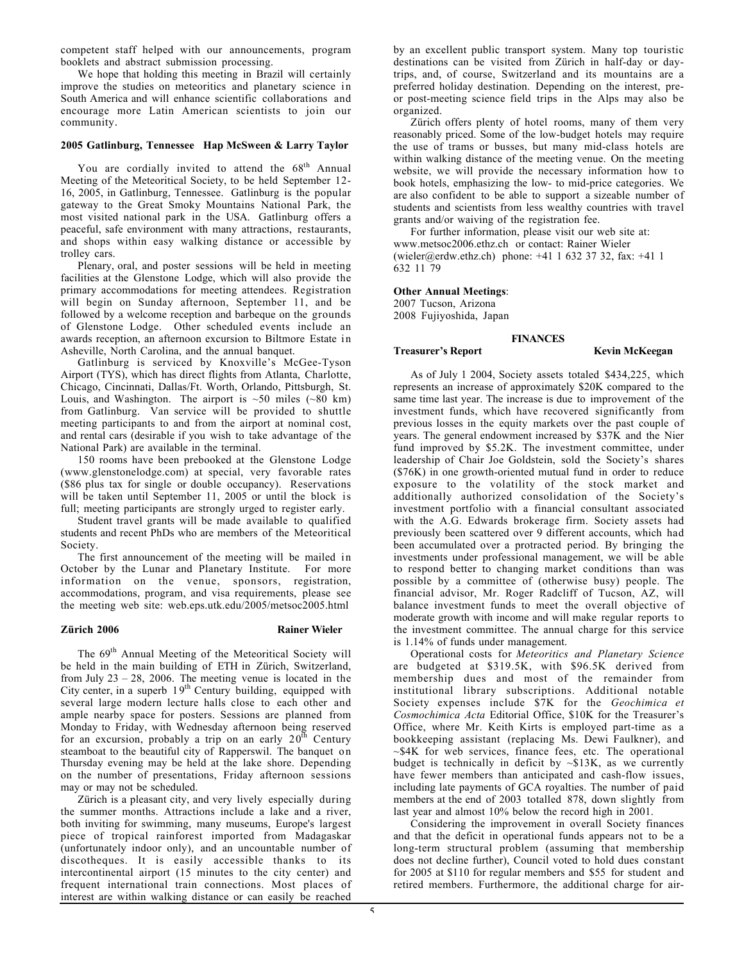competent staff helped with our announcements, program booklets and abstract submission processing.

We hope that holding this meeting in Brazil will certainly improve the studies on meteoritics and planetary science in South America and will enhance scientific collaborations and encourage more Latin American scientists to join our community.

# **2005 Gatlinburg, Tennessee Hap McSween & Larry Taylor**

You are cordially invited to attend the  $68<sup>th</sup>$  Annual Meeting of the Meteoritical Society, to be held September 12- 16, 2005, in Gatlinburg, Tennessee. Gatlinburg is the popular gateway to the Great Smoky Mountains National Park, the most visited national park in the USA. Gatlinburg offers a peaceful, safe environment with many attractions, restaurants, and shops within easy walking distance or accessible by trolley cars.

Plenary, oral, and poster sessions will be held in meeting facilities at the Glenstone Lodge, which will also provide the primary accommodations for meeting attendees. Registration will begin on Sunday afternoon, September 11, and be followed by a welcome reception and barbeque on the grounds of Glenstone Lodge. Other scheduled events include an awards reception, an afternoon excursion to Biltmore Estate in Asheville, North Carolina, and the annual banquet.

Gatlinburg is serviced by Knoxville's McGee-Tyson Airport (TYS), which has direct flights from Atlanta, Charlotte, Chicago, Cincinnati, Dallas/Ft. Worth, Orlando, Pittsburgh, St. Louis, and Washington. The airport is  $~50$  miles ( $~80$  km) from Gatlinburg. Van service will be provided to shuttle meeting participants to and from the airport at nominal cost, and rental cars (desirable if you wish to take advantage of the National Park) are available in the terminal.

150 rooms have been prebooked at the Glenstone Lodge (www.glenstonelodge.com) at special, very favorable rates (\$86 plus tax for single or double occupancy). Reservations will be taken until September 11, 2005 or until the block is full; meeting participants are strongly urged to register early.

Student travel grants will be made available to qualified students and recent PhDs who are members of the Meteoritical Society.

The first announcement of the meeting will be mailed in October by the Lunar and Planetary Institute. For more information on the venue, sponsors, registration, accommodations, program, and visa requirements, please see the meeting web site: web.eps.utk.edu/2005/metsoc2005.html

#### **Zürich 2006** Rainer Wieler

The 69th Annual Meeting of the Meteoritical Society will be held in the main building of ETH in Zürich, Switzerland, from July  $23 - 28$ , 2006. The meeting venue is located in the City center, in a superb  $19<sup>th</sup>$  Century building, equipped with several large modern lecture halls close to each other and ample nearby space for posters. Sessions are planned from Monday to Friday, with Wednesday afternoon being reserved for an excursion, probably a trip on an early  $20^{th}$  Century steamboat to the beautiful city of Rapperswil. The banquet on Thursday evening may be held at the lake shore. Depending on the number of presentations, Friday afternoon sessions may or may not be scheduled.

Zürich is a pleasant city, and very lively especially during the summer months. Attractions include a lake and a river, both inviting for swimming, many museums, Europe's largest piece of tropical rainforest imported from Madagaskar (unfortunately indoor only), and an uncountable number of discotheques. It is easily accessible thanks to its intercontinental airport (15 minutes to the city center) and frequent international train connections. Most places of interest are within walking distance or can easily be reached

by an excellent public transport system. Many top touristic destinations can be visited from Zürich in half-day or daytrips, and, of course, Switzerland and its mountains are a preferred holiday destination. Depending on the interest, preor post-meeting science field trips in the Alps may also be organized.

Zürich offers plenty of hotel rooms, many of them very reasonably priced. Some of the low-budget hotels may require the use of trams or busses, but many mid-class hotels are within walking distance of the meeting venue. On the meeting website, we will provide the necessary information how to book hotels, emphasizing the low- to mid-price categories. We are also confident to be able to support a sizeable number of students and scientists from less wealthy countries with travel grants and/or waiving of the registration fee.

For further information, please visit our web site at: www.metsoc2006.ethz.ch or contact: Rainer Wieler (wieler@erdw.ethz.ch) phone:  $+41$  1 632 37 32, fax:  $+41$  1 632 11 79

**FINANCES**

# **Other Annual Meetings**:

2007 Tucson, Arizona 2008 Fujiyoshida, Japan

**Treasurer's Report Kevin McKeegan** 

As of July 1 2004, Society assets totaled \$434,225, which represents an increase of approximately \$20K compared to the same time last year. The increase is due to improvement of the investment funds, which have recovered significantly from previous losses in the equity markets over the past couple of years. The general endowment increased by \$37K and the Nier fund improved by \$5.2K. The investment committee, under leadership of Chair Joe Goldstein, sold the Society's shares (\$76K) in one growth-oriented mutual fund in order to reduce exposure to the volatility of the stock market and additionally authorized consolidation of the Society's investment portfolio with a financial consultant associated with the A.G. Edwards brokerage firm. Society assets had previously been scattered over 9 different accounts, which had been accumulated over a protracted period. By bringing the investments under professional management, we will be able to respond better to changing market conditions than was possible by a committee of (otherwise busy) people. The financial advisor, Mr. Roger Radcliff of Tucson, AZ, will balance investment funds to meet the overall objective of moderate growth with income and will make regular reports to the investment committee. The annual charge for this service is 1.14% of funds under management.

Operational costs for *Meteoritics and Planetary Science* are budgeted at \$319.5K, with \$96.5K derived from membership dues and most of the remainder from institutional library subscriptions. Additional notable Society expenses include \$7K for the *Geochimica et Cosmochimica Acta* Editorial Office, \$10K for the Treasurer's Office, where Mr. Keith Kirts is employed part-time as a bookkeeping assistant (replacing Ms. Dewi Faulkner), and  $~\sim$ \$4K for web services, finance fees, etc. The operational budget is technically in deficit by  $\sim $13K$ , as we currently have fewer members than anticipated and cash-flow issues, including late payments of GCA royalties. The number of paid members at the end of 2003 totalled 878, down slightly from last year and almost 10% below the record high in 2001.

Considering the improvement in overall Society finances and that the deficit in operational funds appears not to be a long-term structural problem (assuming that membership does not decline further), Council voted to hold dues constant for 2005 at \$110 for regular members and \$55 for student and retired members. Furthermore, the additional charge for air-